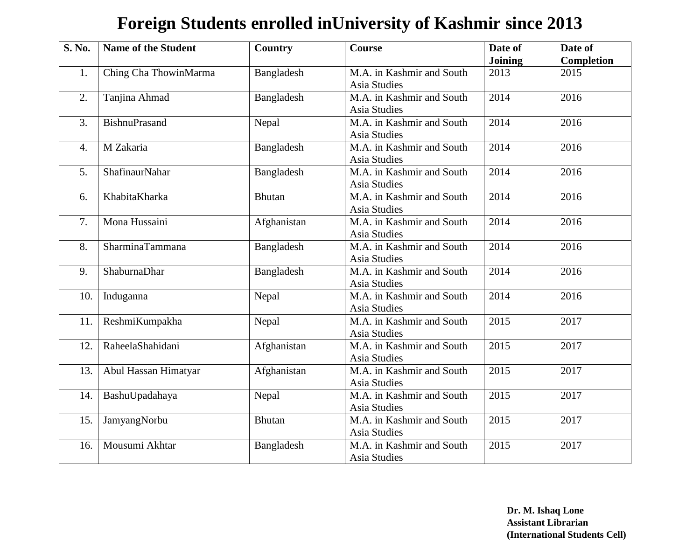## **Foreign Students enrolled inUniversity of Kashmir since 2013**

| S. No.           | <b>Name of the Student</b> | <b>Country</b> | <b>Course</b>             | Date of           | Date of    |
|------------------|----------------------------|----------------|---------------------------|-------------------|------------|
|                  |                            |                |                           | Joining           | Completion |
| 1.               | Ching Cha ThowinMarma      | Bangladesh     | M.A. in Kashmir and South | 2013              | 2015       |
|                  |                            |                | <b>Asia Studies</b>       |                   |            |
| 2.               | Tanjina Ahmad              | Bangladesh     | M.A. in Kashmir and South | $\overline{2014}$ | 2016       |
|                  |                            |                | <b>Asia Studies</b>       |                   |            |
| 3.               | <b>BishnuPrasand</b>       | Nepal          | M.A. in Kashmir and South | 2014              | 2016       |
|                  |                            |                | Asia Studies              |                   |            |
| $\overline{4}$ . | M Zakaria                  | Bangladesh     | M.A. in Kashmir and South | 2014              | 2016       |
|                  |                            |                | <b>Asia Studies</b>       |                   |            |
| 5.               | ShafinaurNahar             | Bangladesh     | M.A. in Kashmir and South | 2014              | 2016       |
|                  |                            |                | Asia Studies              |                   |            |
| 6.               | KhabitaKharka              | <b>Bhutan</b>  | M.A. in Kashmir and South | 2014              | 2016       |
|                  |                            |                | Asia Studies              |                   |            |
| 7.               | Mona Hussaini              | Afghanistan    | M.A. in Kashmir and South | 2014              | 2016       |
|                  |                            |                | Asia Studies              |                   |            |
| 8.               | SharminaTammana            | Bangladesh     | M.A. in Kashmir and South | 2014              | 2016       |
|                  |                            |                | Asia Studies              |                   |            |
| 9.               | ShaburnaDhar               | Bangladesh     | M.A. in Kashmir and South | 2014              | 2016       |
|                  |                            |                | <b>Asia Studies</b>       |                   |            |
| 10.              | Induganna                  | Nepal          | M.A. in Kashmir and South | 2014              | 2016       |
|                  |                            |                | <b>Asia Studies</b>       |                   |            |
| 11.              | ReshmiKumpakha             | Nepal          | M.A. in Kashmir and South | 2015              | 2017       |
|                  |                            |                | <b>Asia Studies</b>       |                   |            |
| 12.              | RaheelaShahidani           | Afghanistan    | M.A. in Kashmir and South | $\overline{2015}$ | 2017       |
|                  |                            |                | <b>Asia Studies</b>       |                   |            |
| 13.              | Abul Hassan Himatyar       | Afghanistan    | M.A. in Kashmir and South | 2015              | 2017       |
|                  |                            |                | Asia Studies              |                   |            |
| 14.              | BashuUpadahaya             | Nepal          | M.A. in Kashmir and South | 2015              | 2017       |
|                  |                            |                | <b>Asia Studies</b>       |                   |            |
| 15.              | JamyangNorbu               | <b>Bhutan</b>  | M.A. in Kashmir and South | 2015              | 2017       |
|                  |                            |                | Asia Studies              |                   |            |
| 16.              | Mousumi Akhtar             | Bangladesh     | M.A. in Kashmir and South | 2015              | 2017       |
|                  |                            |                | Asia Studies              |                   |            |

**Dr. M. Ishaq Lone Assistant Librarian (International Students Cell)**